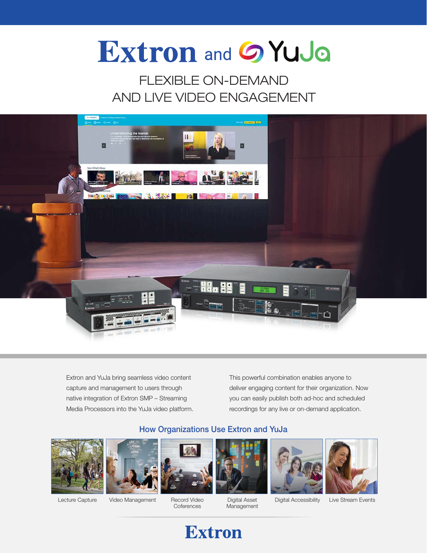# **Extron** and GYuJo

## FLEXIBLE ON-DEMAND AND LIVE VIDEO ENGAGEMENT



Extron and YuJa bring seamless video content capture and management to users through native integration of Extron SMP – Streaming Media Processors into the YuJa video platform. This powerful combination enables anyone to deliver engaging content for their organization. Now you can easily publish both ad-hoc and scheduled recordings for any live or on-demand application.



Lecture Capture Video Management Record Video



Coferences



How Organizations Use Extron and YuJa

Digital Asset Management





Digital Accessibility Live Stream Events

# **Extron**